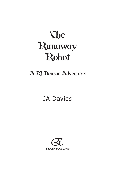# **The** Runaway Robot

## A DJ Benson Adventure

# JA Davies

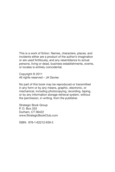This is a work of fiction. Names, characters, places, and incidents either are a product of the author's imagination or are used fictitiously, and any resemblance to actual persons, living or dead, business establishments, events, or locales is entirely coincidental.

Copyright © 2011 All rights reserved – JA Davies

No part of this book may be reproduced or transmitted in any form or by any means, graphic, electronic, or mechanical, including photocopying, recording, taping, or by any information storage retrieval system, without the permission, in writing, from the publisher.

Strategic Book Group P. O. Box 333 Durham, CT 06422 www.StrategicBookClub.com

ISBN: 978-1-62212-939-3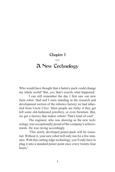#### Chapter 1 —

### A New Technology

Who would have thought that a battery-pack could change my whole world? But, yes, that's exactly what happened.

I can still remember the day I first saw our new farm robot. Dad and I were standing in the research and development section of the robotics factory we had inherited from Uncle Clive. Most people are lucky if they get left some old-fashioned jewellery, or even furniture. But, we got a factory that makes robots! That's kind of cool!

The engineer, who was showing us the new technology, was exceptionally proud of the company's achievements. He was raving accordingly.

'This newly developed power-pack will be essential. Without it, your new robot will only run for a few minutes. With this cutting-edge technology, you'll only have to plug it into a standard power point once every twenty-four hours<sup>'</sup>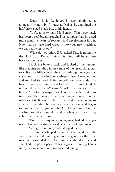'Doesn't look like it could power anything, let alone a working robot,' muttered Dad, as he examined the half-brick sized black box in his hands.

'You're a lucky man, Mr. Benson. That power pack has been a real breakthrough. This company has invested more than five years of research and development into it. Now that we have hard-wired it into your new machine, we can really test it out.'

'What do you think, DJ?' asked Dad, handing me the black box. 'Do you think this thing will be any use back on the farm?'

I took the battery-pack and looked at the humanlike machine standing in the centre of the research laboratory. It was a little shorter than me with big blue eyes that stared out from a white, oval-shaped face. I reached out and touched its head. It felt smooth and cool under my hand. I walked around it and looked at it from behind. It reminded me of the *Michelin Man* I'd seen in one of my brother's motoring magazines. I looked for the switch to turn it on. There was a small grey screen mounted on the robot's chest. It was similar to my iPod touch-screen, so I tapped it gently. The screen changed colour and began to glow with a soft green light. A tinkling chime, like the start-up sound a computer makes when you turn it on, echoed across the room.

'Don't touch anything, young man,' barked the engineer. 'That is an extremely valuable piece of equipment.'

'Sorry,' I muttered, and I stepped back.

The engineer tapped the screen again and the light faded. A different tinkling chime rang out as the little machine powered down. The engineer glared at me and snatched the power pack from my grasp. I put my hands in my pockets, no doubt, my face reddening.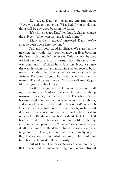'DJ!' urged Dad, smiling at my embarrassment. 'Have you suddenly gone deaf? I asked if you think that thing will be any good back on the farm.'

'It's a little beauty, Dad,' I enthused, glad to change the subject. 'When can we take it back home?'

'Right away, I expect,' answered Dad. 'We've already been down here too long.'

Dad and I both stood in silence. We stared at the machine that would likely soon change our lives back on the farm. I still couldn't believe it. Only six months ago, we had been ordinary dairy farmers from the out-of-theway community of Bandabura Junction. Now, we were the wealthy owners of a mansion in Sydney, several businesses, including the robotics factory, and a rather large fortune. For those of you who have not yet met me, my name is Daniel James Benson. You can call me DJ, just like everyone at school does.

For those of you who do know me, you may recall my adventure at Markwell Manor, the old, rambling mansion in Sydney my dad inherited. The whole family became tangled up with a bunch of crooks, some ghosts, and an uncle who died, but didn't. It was Dad's very rich Uncle Clive, who had faked his own death, so he could drop out of existence, and then retire to the farm next to ours back in Bandabura Junction. Sad old Uncle Clive had become tired of his fast-paced and dodgy life in the big city, and he had planned his "demise" so he could escape it all. Everyone in Bandabura Junction knew our new neighbour as Claude, a retired gardener from Sydney. If they knew about his colourful past, maybe he would not have been welcomed quite so warmly!

Part of Uncle Clive's estate was a small company that specialised in manufacturing computer-controlled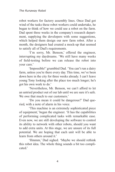robot workers for factory assembly lines. Once Dad got wind of the tasks these robot workers could undertake, he began to think of how we could use a robot on the farm. Dad spent three weeks in the company's research department, supplying the developers with some suggestions, which helped them design our new farm robot. After a month, the designers had created a mock-up that seemed to satisfy all of Dad's requirements.

'I'm sorry, Mr. Benson,' offered the engineer, interrupting my daydreams. 'We still have many weeks of field-testing before we can release the robot into your care.'

'Impossible!' grumbled Dad. 'You can't run a dairy farm, unless you're there every day. This time, we've been down here in the city for three weeks already. I can't leave young Tony looking after the place too much longer; he's got his own work to do.'

'Nevertheless, Mr. Benson, we can't afford to let an untried product out of our lab until we are sure it's safe. We owe that much to our customers.'

'Do you mean it could be dangerous?' Dad queried, with a note of alarm in his voice.

'This machine is an extremely sophisticated piece of equipment,' began the engineer. 'It has the capabilities of performing complicated tasks with remarkable ease. Even now, we are still developing the software to control its ability to network with other robots, should you want to add extra units. At this stage, we are unsure of its full potential. We are hoping that each unit will be able to learn from others around it.'

'Hmmm,' Dad sighed. 'Maybe we should rethink this robot idea. The whole thing sounds a bit too complicated.'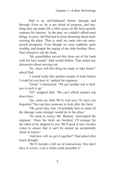Dad is an old-fashioned farmer through and through. Even so, he is not afraid of progress, and anything that can make life a little easier on the farm quickly captures his interest. In the past, we couldn't afford most things, so poor, old Dad had to keep dreaming about modernising the place. That is, until we came into our unexpected prosperity. Even though we were suddenly quite wealthy, and despite the urging of my elder brother, Dave, Dad refused to sell the farm.

'My grandfather carved this farm out of the bush with his bare hands!' Dad would bellow. That ended any discussion about moving out.

'So, when will this thing be ready to take home?' asked Dad.

'I would really like another month of trials before I could let you have it,' replied the engineer.

'Great!' I interjected. 'We get another trip to Sydney to pick it up.'

'DJ!' snapped Dad. 'We can't afford another trip down here.'

'Aw, come on, Dad. We're rich now. Or, have you forgotten? You can hire someone to look after the farm.'

'Oh, great idea, Son. I'd probably have to undo all the damage some stranger would do to the place.'

'No need to worry, Mr. Benson,' interrupted the engineer. 'Once the trials are finished, I'll arrange for the robot to be shipped to you. We'll pack it into wooden crates to ensure that it can't be started up accidentally while in transit.'

'And how will we get it together?' Dad asked after much thought.

'We'll include a full set of instructions. You don't have to worry; even a child could assemble it.'